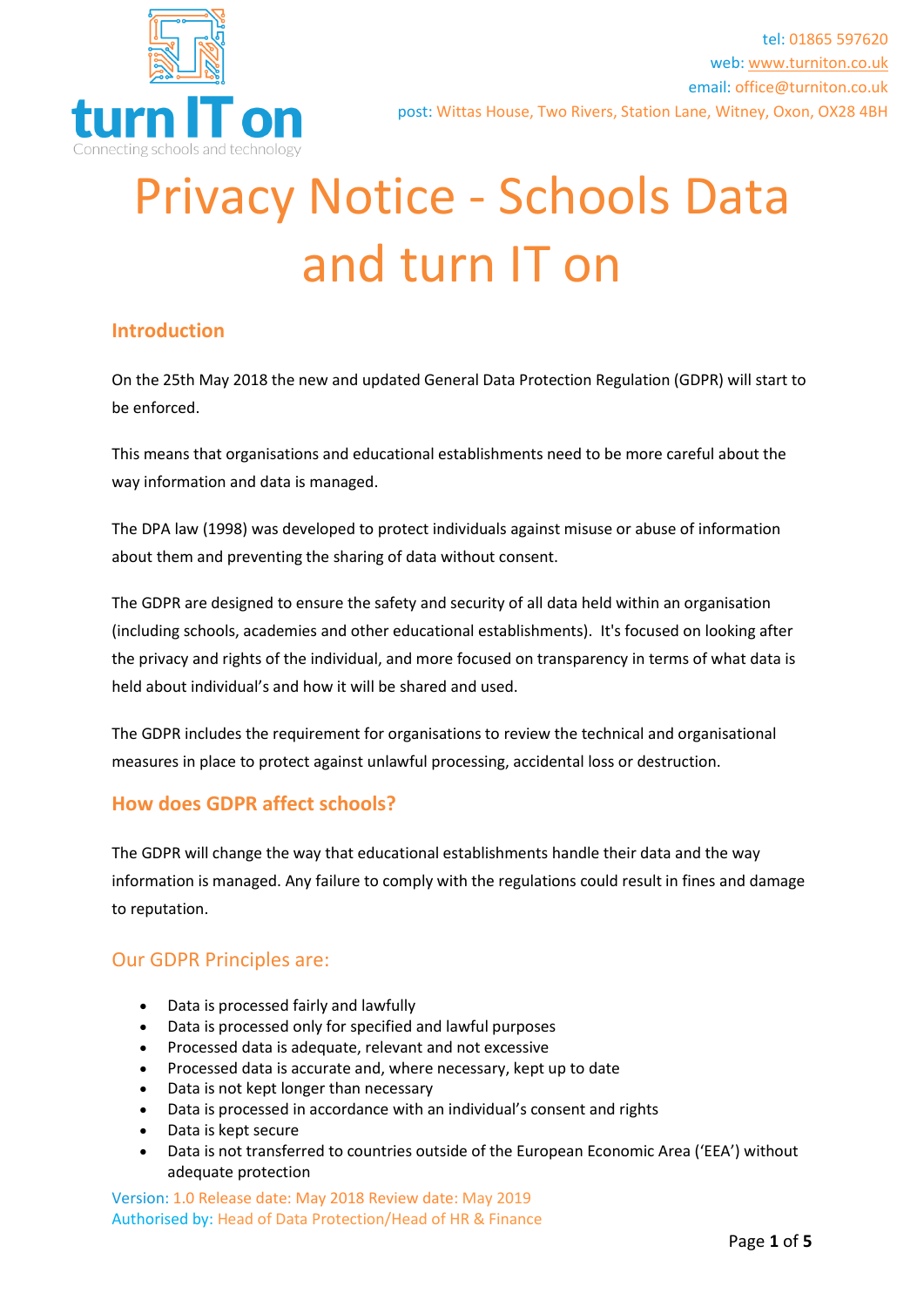

# Privacy Notice - Schools Data and turn IT on

## **Introduction**

On the 25th May 2018 the new and updated General Data Protection Regulation (GDPR) will start to be enforced.

This means that organisations and educational establishments need to be more careful about the way information and data is managed.

The DPA law (1998) was developed to protect individuals against misuse or abuse of information about them and preventing the sharing of data without consent.

The GDPR are designed to ensure the safety and security of all data held within an organisation (including schools, academies and other educational establishments). It's focused on looking after the privacy and rights of the individual, and more focused on transparency in terms of what data is held about individual's and how it will be shared and used.

The GDPR includes the requirement for organisations to review the technical and organisational measures in place to protect against unlawful processing, accidental loss or destruction.

## **How does GDPR affect schools?**

The GDPR will change the way that educational establishments handle their data and the way information is managed. Any failure to comply with the regulations could result in fines and damage to reputation.

## Our GDPR Principles are:

- Data is processed fairly and lawfully
- Data is processed only for specified and lawful purposes
- Processed data is adequate, relevant and not excessive
- Processed data is accurate and, where necessary, kept up to date
- Data is not kept longer than necessary
- Data is processed in accordance with an individual's consent and rights
- Data is kept secure
- Data is not transferred to countries outside of the European Economic Area ('EEA') without adequate protection

Version: 1.0 Release date: May 2018 Review date: May 2019 Authorised by: Head of Data Protection/Head of HR & Finance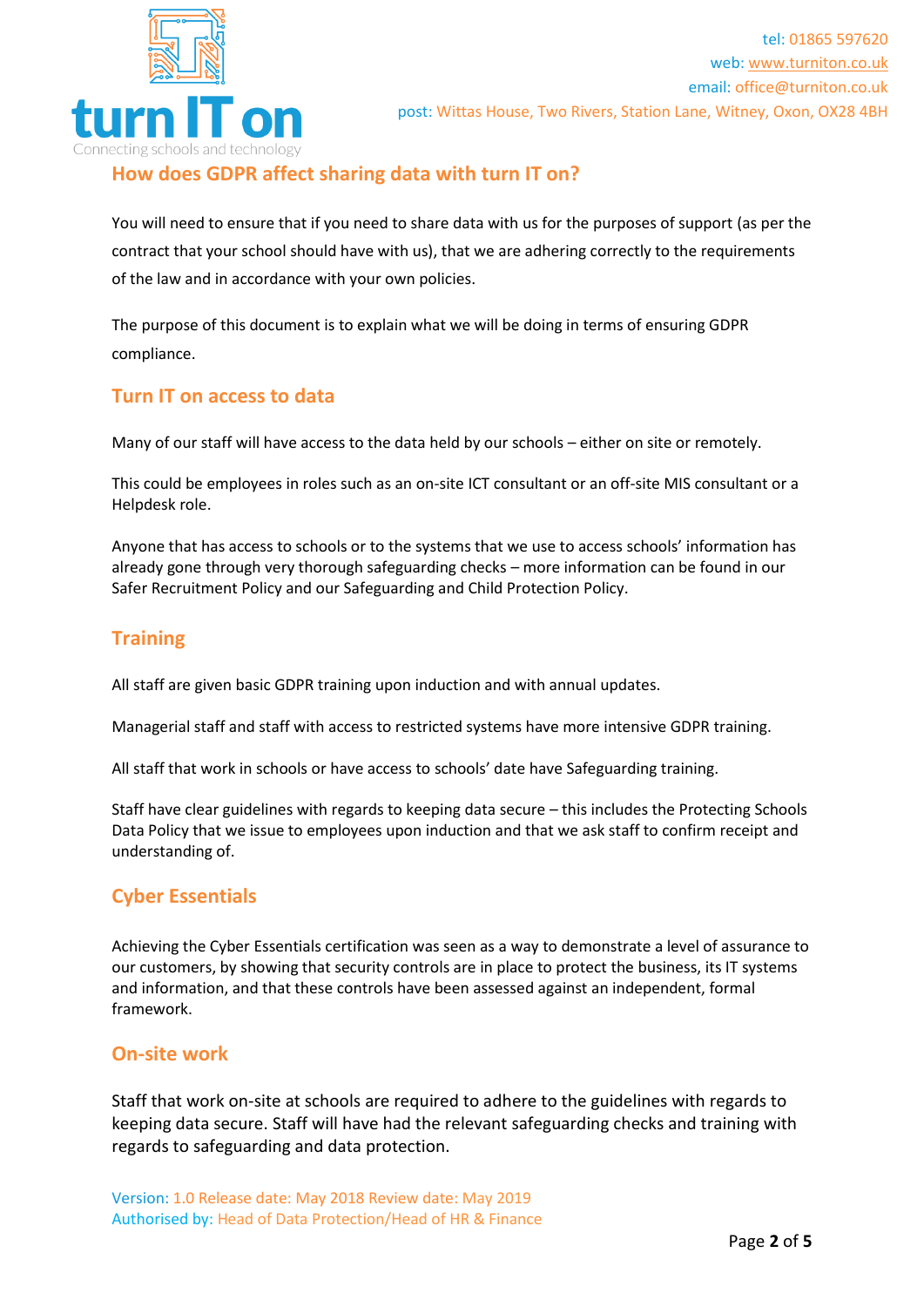

## **How does GDPR affect sharing data with turn IT on?**

You will need to ensure that if you need to share data with us for the purposes of support (as per the contract that your school should have with us), that we are adhering correctly to the requirements of the law and in accordance with your own policies.

The purpose of this document is to explain what we will be doing in terms of ensuring GDPR compliance.

## **Turn IT on access to data**

Many of our staff will have access to the data held by our schools – either on site or remotely.

This could be employees in roles such as an on-site ICT consultant or an off-site MIS consultant or a Helpdesk role.

Anyone that has access to schools or to the systems that we use to access schools' information has already gone through very thorough safeguarding checks – more information can be found in our Safer Recruitment Policy and our Safeguarding and Child Protection Policy.

## **Training**

All staff are given basic GDPR training upon induction and with annual updates.

Managerial staff and staff with access to restricted systems have more intensive GDPR training.

All staff that work in schools or have access to schools' date have Safeguarding training.

Staff have clear guidelines with regards to keeping data secure – this includes the Protecting Schools Data Policy that we issue to employees upon induction and that we ask staff to confirm receipt and understanding of.

## **Cyber Essentials**

Achieving the Cyber Essentials certification was seen as a way to demonstrate a level of assurance to our customers, by showing that security controls are in place to protect the business, its IT systems and information, and that these controls have been assessed against an independent, formal framework.

## **On-site work**

Staff that work on-site at schools are required to adhere to the guidelines with regards to keeping data secure. Staff will have had the relevant safeguarding checks and training with regards to safeguarding and data protection.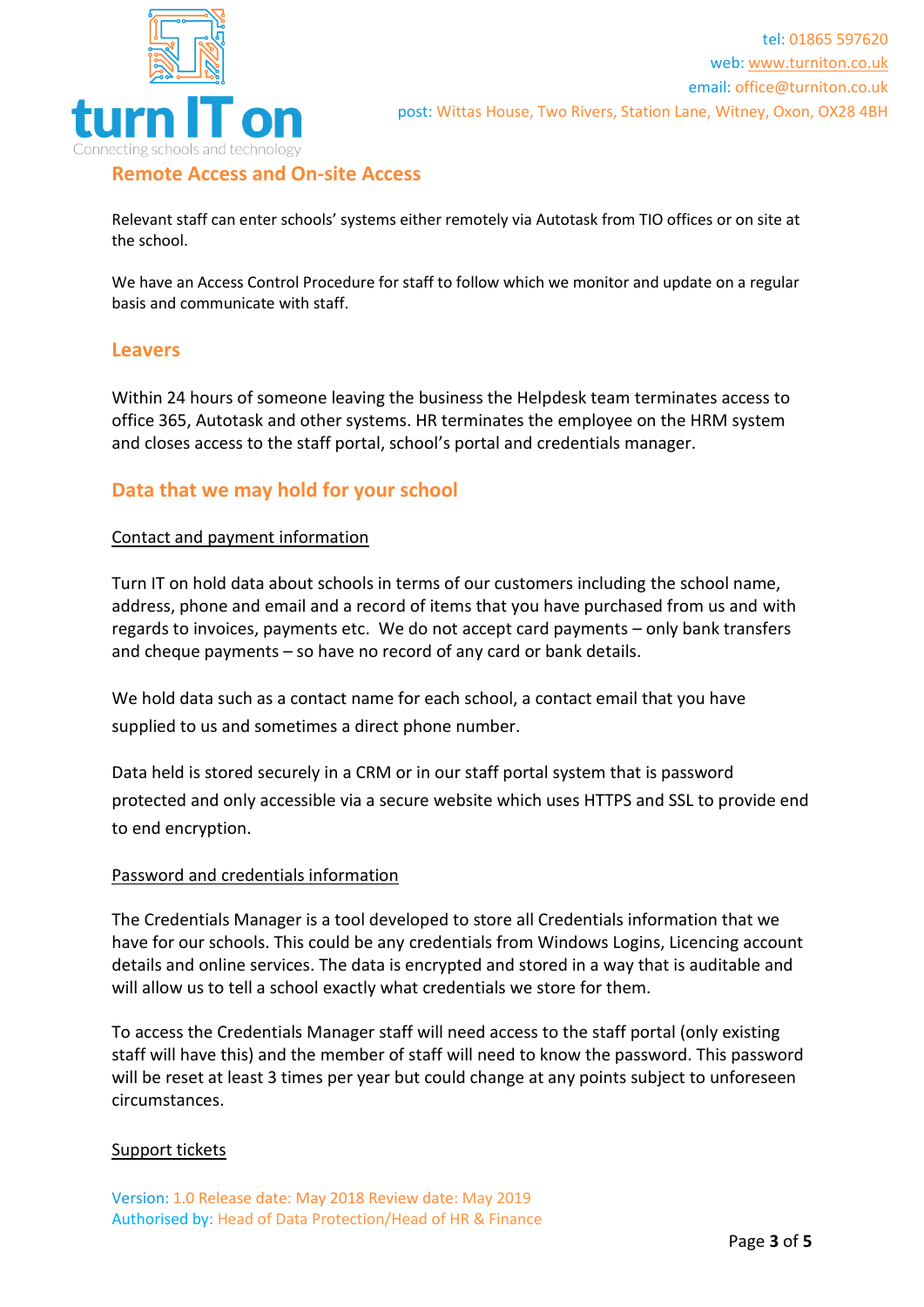

## **Remote Access and On-site Access**

Relevant staff can enter schools' systems either remotely via Autotask from TIO offices or on site at the school.

We have an Access Control Procedure for staff to follow which we monitor and update on a regular basis and communicate with staff.

#### **Leavers**

Within 24 hours of someone leaving the business the Helpdesk team terminates access to office 365, Autotask and other systems. HR terminates the employee on the HRM system and closes access to the staff portal, school's portal and credentials manager.

## **Data that we may hold for your school**

#### Contact and payment information

Turn IT on hold data about schools in terms of our customers including the school name, address, phone and email and a record of items that you have purchased from us and with regards to invoices, payments etc. We do not accept card payments – only bank transfers and cheque payments – so have no record of any card or bank details.

We hold data such as a contact name for each school, a contact email that you have supplied to us and sometimes a direct phone number.

Data held is stored securely in a CRM or in our staff portal system that is password protected and only accessible via a secure website which uses HTTPS and SSL to provide end to end encryption.

#### Password and credentials information

The Credentials Manager is a tool developed to store all Credentials information that we have for our schools. This could be any credentials from Windows Logins, Licencing account details and online services. The data is encrypted and stored in a way that is auditable and will allow us to tell a school exactly what credentials we store for them.

To access the Credentials Manager staff will need access to the staff portal (only existing staff will have this) and the member of staff will need to know the password. This password will be reset at least 3 times per year but could change at any points subject to unforeseen circumstances.

#### Support tickets

Version: 1.0 Release date: May 2018 Review date: May 2019 Authorised by: Head of Data Protection/Head of HR & Finance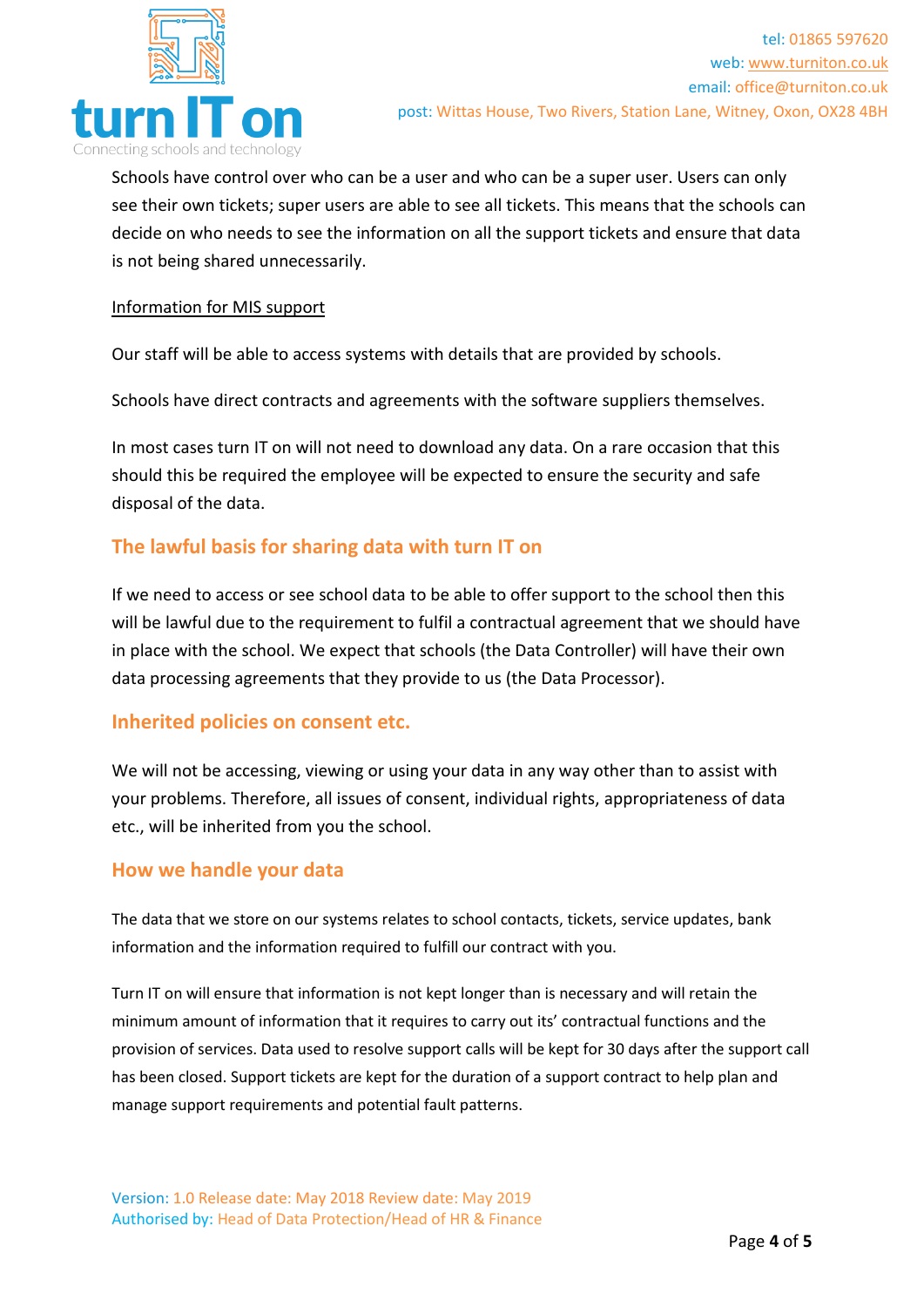

Schools have control over who can be a user and who can be a super user. Users can only see their own tickets; super users are able to see all tickets. This means that the schools can decide on who needs to see the information on all the support tickets and ensure that data is not being shared unnecessarily.

#### Information for MIS support

Our staff will be able to access systems with details that are provided by schools.

Schools have direct contracts and agreements with the software suppliers themselves.

In most cases turn IT on will not need to download any data. On a rare occasion that this should this be required the employee will be expected to ensure the security and safe disposal of the data.

## **The lawful basis for sharing data with turn IT on**

If we need to access or see school data to be able to offer support to the school then this will be lawful due to the requirement to fulfil a contractual agreement that we should have in place with the school. We expect that schools (the Data Controller) will have their own data processing agreements that they provide to us (the Data Processor).

## **Inherited policies on consent etc.**

We will not be accessing, viewing or using your data in any way other than to assist with your problems. Therefore, all issues of consent, individual rights, appropriateness of data etc., will be inherited from you the school.

#### **How we handle your data**

The data that we store on our systems relates to school contacts, tickets, service updates, bank information and the information required to fulfill our contract with you.

Turn IT on will ensure that information is not kept longer than is necessary and will retain the minimum amount of information that it requires to carry out its' contractual functions and the provision of services. Data used to resolve support calls will be kept for 30 days after the support call has been closed. Support tickets are kept for the duration of a support contract to help plan and manage support requirements and potential fault patterns.